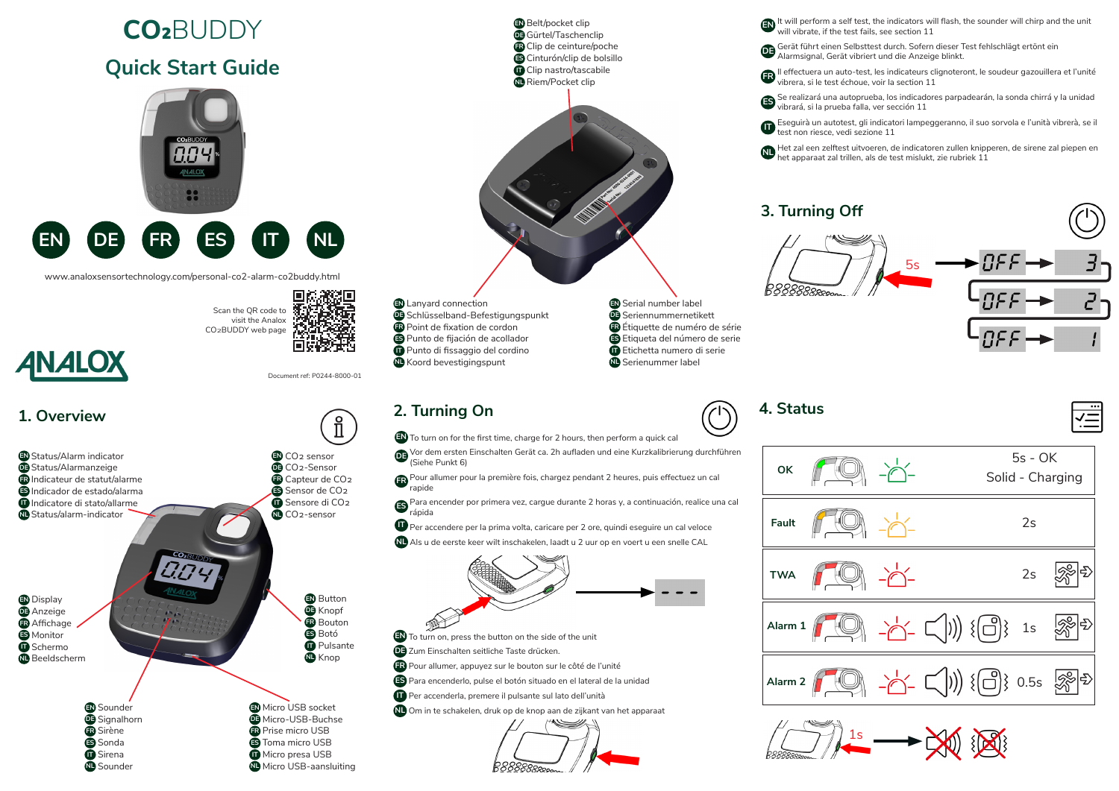

Sonda **ES** Sirena **IT** Sounder **NL** Toma micro USB **ES** Micro presa USB **IT** Micro USB-aansluiting **NL**  $\sqrt{-}$